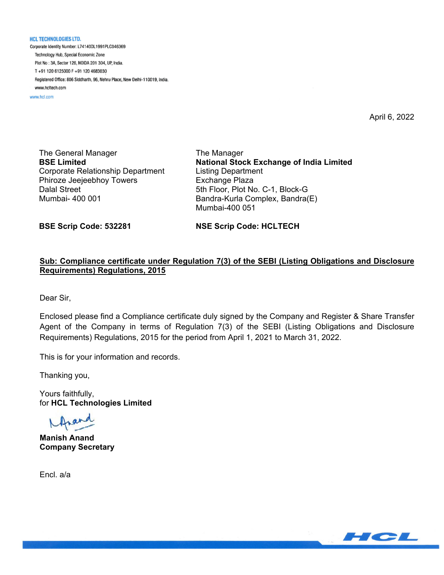**HCL TECHNOLOGIES LTD.** 

Corporate Identity Number: L74140DL1991PLC046369 Technology Hub, Special Economic Zone Plot No: 3A, Sector 126, NOIDA 201 304, UP, India. T+91 120 6125000 F+91 120 4683030 Registered Office: 806 Siddharth, 96, Nehru Place, New Delhi-110019, India. www.hcltech.com

www.hcl.com

April 6, 2022

The General Manager **BSE Limited**  Corporate Relationship Department Phiroze Jeejeebhoy Towers Dalal Street Mumbai- 400 001

The Manager **National Stock Exchange of India Limited**  Listing Department Exchange Plaza 5th Floor, Plot No. C-1, Block-G Bandra-Kurla Complex, Bandra(E) Mumbai-400 051

**BSE Scrip Code: 532281** 

**NSE Scrip Code: HCLTECH** 

## **Sub: Compliance certificate under Regulation 7(3) of the SEBI (Listing Obligations and Disclosure Requirements) Regulations, 2015**

Dear Sir,

Enclosed please find a Compliance certificate duly signed by the Company and Register & Share Transfer Agent of the Company in terms of Regulation 7(3) of the SEBI (Listing Obligations and Disclosure Requirements) Regulations, 2015 for the period from April 1, 2021 to March 31, 2022.

This is for your information and records.

Thanking you,

Yours faithfully, for **HCL Technologies Limited** 

**Manish Anand Company Secretary** 

Encl. a/a